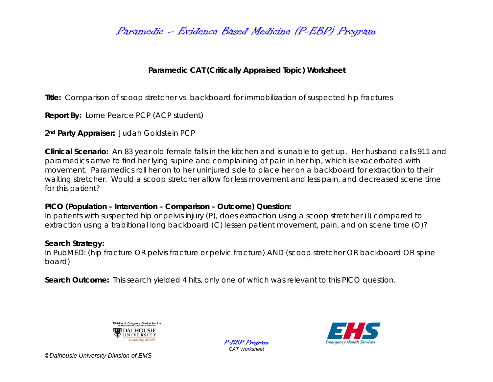Paramedic – Evidence Based Medicine (P-EBP) Program

## **Paramedic CAT (Critically Appraised Topic) Worksheet**

**Title:** Comparison of scoop stretcher vs. backboard for immobilization of suspected hip fractures

**Report By:** Lorne Pearce PCP (ACP student)

**2nd Party Appraiser:** Judah Goldstein PCP

**Clinical Scenario:** An 83 year old female falls in the kitchen and is unable to get up. Her husband calls 911 and paramedics arrive to find her lying supine and complaining of pain in her hip, which is exacerbated with movement. Paramedics roll her on to her uninjured side to place her on a backboard for extraction to their waiting stretcher. Would a scoop stretcher allow for less movement and less pain, and decreased scene time for this patient?

## **PICO (Population – Intervention – Comparison – Outcome) Question:**

In patients with suspected hip or pelvis injury (P), does extraction using a scoop stretcher (I) compared to extraction using a traditional long backboard (C) lessen patient movement, pain, and on scene time (O)?

## **Search Strategy:**

In PubMED: (hip fracture OR pelvis fracture or pelvic fracture) AND (scoop stretcher OR backboard OR spine board)

**Search Outcome:** This search yielded 4 hits, only one of which was relevant to this PICO question.



P-EBP Program *CAT Worksheet* 



*©Dalhousie University Division of EMS*